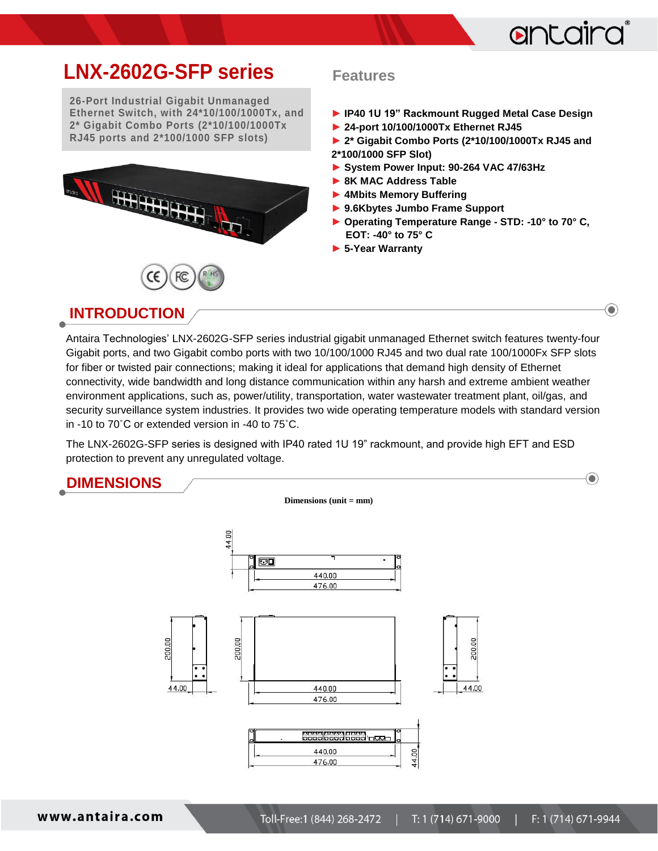

 $\bigcirc$ 

## **LNX-2602G-SFP series**

**26-Port Industrial Gigabit Unmanaged Ethernet Switch, with 24\*10/100/1000Tx, and 2\* Gigabit Combo Ports (2\*10/100/1000Tx RJ45 ports and 2\*100/1000 SFP slots)**



## **Features**

- **► IP40 1U 19" Rackmount Rugged Metal Case Design**
- **► 24-port 10/100/1000Tx Ethernet RJ45**
- **► 2\* Gigabit Combo Ports (2\*10/100/1000Tx RJ45 and 2\*100/1000 SFP Slot)**
- **► System Power Input: 90-264 VAC 47/63Hz**
- **► 8K MAC Address Table**
- **► 4Mbits Memory Buffering**
- **► 9.6Kbytes Jumbo Frame Support**
- **► Operating Temperature Range - STD: -10° to 70° C, EOT: -40° to 75° C**
- **► 5-Year Warranty**



Antaira Technologies' LNX-2602G-SFP series industrial gigabit unmanaged Ethernet switch features twenty-four Gigabit ports, and two Gigabit combo ports with two 10/100/1000 RJ45 and two dual rate 100/1000Fx SFP slots for fiber or twisted pair connections; making it ideal for applications that demand high density of Ethernet connectivity, wide bandwidth and long distance communication within any harsh and extreme ambient weather environment applications, such as, power/utility, transportation, water wastewater treatment plant, oil/gas, and security surveillance system industries. It provides two wide operating temperature models with standard version in -10 to 70˚C or extended version in -40 to 75˚C.

The LNX-2602G-SFP series is designed with IP40 rated 1U 19" rackmount, and provide high EFT and ESD protection to prevent any unregulated voltage.